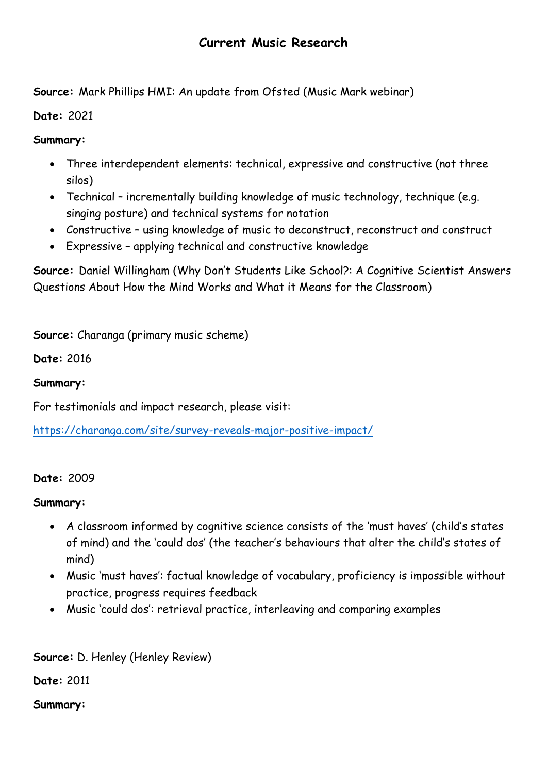## **Current Music Research**

**Source:** Mark Phillips HMI: An update from Ofsted (Music Mark webinar)

**Date:** 2021

**Summary:**

- Three interdependent elements: technical, expressive and constructive (not three silos)
- Technical incrementally building knowledge of music technology, technique (e.g. singing posture) and technical systems for notation
- Constructive using knowledge of music to deconstruct, reconstruct and construct
- Expressive applying technical and constructive knowledge

**Source:** Daniel Willingham (Why Don't Students Like School?: A Cognitive Scientist Answers Questions About How the Mind Works and What it Means for the Classroom)

**Source:** Charanga (primary music scheme)

**Date:** 2016

**Summary:**

For testimonials and impact research, please visit:

<https://charanga.com/site/survey-reveals-major-positive-impact/>

## **Date:** 2009

**Summary:**

- A classroom informed by cognitive science consists of the 'must haves' (child's states of mind) and the 'could dos' (the teacher's behaviours that alter the child's states of mind)
- Music 'must haves': factual knowledge of vocabulary, proficiency is impossible without practice, progress requires feedback
- Music 'could dos': retrieval practice, interleaving and comparing examples

**Source:** D. Henley (Henley Review)

**Date:** 2011

**Summary:**